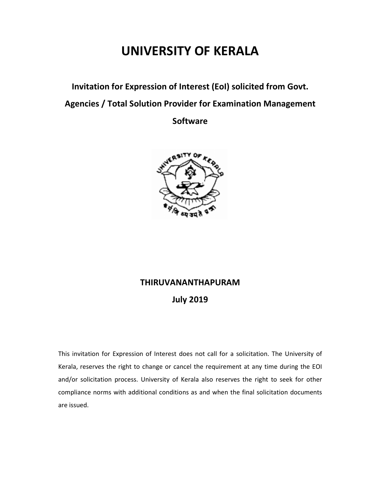# UNIVERSITY OF KERALA

Invitation for Expression of Interest (EoI) solicited from Govt.

Agencies / Total Solution Provider for Examination Management

**Software** 



## THIRUVANANTHAPURAM

## July 2019

This invitation for Expression of Interest does not call for a solicitation. The University of Kerala, reserves the right to change or cancel the requirement at any time during the EOI and/or solicitation process. University of Kerala also reserves the right to seek for other compliance norms with additional conditions as and when the final solicitation documents are issued.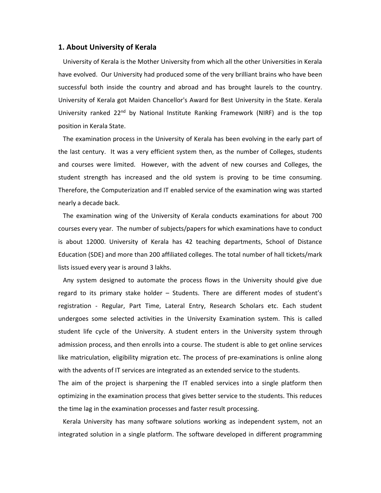### 1. About University of Kerala

 University of Kerala is the Mother University from which all the other Universities in Kerala have evolved. Our University had produced some of the very brilliant brains who have been successful both inside the country and abroad and has brought laurels to the country. University of Kerala got Maiden Chancellor's Award for Best University in the State. Kerala University ranked 22<sup>nd</sup> by National Institute Ranking Framework (NIRF) and is the top position in Kerala State.

 The examination process in the University of Kerala has been evolving in the early part of the last century. It was a very efficient system then, as the number of Colleges, students and courses were limited. However, with the advent of new courses and Colleges, the student strength has increased and the old system is proving to be time consuming. Therefore, the Computerization and IT enabled service of the examination wing was started nearly a decade back.

 The examination wing of the University of Kerala conducts examinations for about 700 courses every year. The number of subjects/papers for which examinations have to conduct is about 12000. University of Kerala has 42 teaching departments, School of Distance Education (SDE) and more than 200 affiliated colleges. The total number of hall tickets/mark lists issued every year is around 3 lakhs.

 Any system designed to automate the process flows in the University should give due regard to its primary stake holder – Students. There are different modes of student's registration - Regular, Part Time, Lateral Entry, Research Scholars etc. Each student undergoes some selected activities in the University Examination system. This is called student life cycle of the University. A student enters in the University system through admission process, and then enrolls into a course. The student is able to get online services like matriculation, eligibility migration etc. The process of pre-examinations is online along with the advents of IT services are integrated as an extended service to the students.

The aim of the project is sharpening the IT enabled services into a single platform then optimizing in the examination process that gives better service to the students. This reduces the time lag in the examination processes and faster result processing.

 Kerala University has many software solutions working as independent system, not an integrated solution in a single platform. The software developed in different programming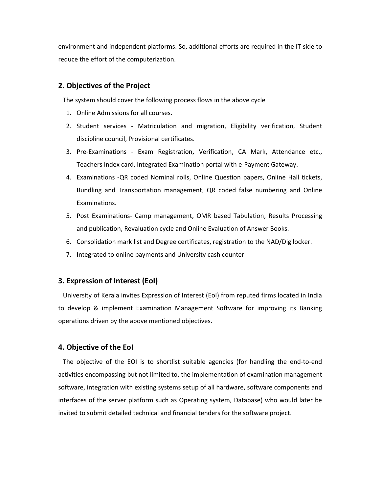environment and independent platforms. So, additional efforts are required in the IT side to reduce the effort of the computerization.

## 2. Objectives of the Project

The system should cover the following process flows in the above cycle

- 1. Online Admissions for all courses.
- 2. Student services Matriculation and migration, Eligibility verification, Student discipline council, Provisional certificates.
- 3. Pre-Examinations Exam Registration, Verification, CA Mark, Attendance etc., Teachers Index card, Integrated Examination portal with e-Payment Gateway.
- 4. Examinations -QR coded Nominal rolls, Online Question papers, Online Hall tickets, Bundling and Transportation management, QR coded false numbering and Online Examinations.
- 5. Post Examinations- Camp management, OMR based Tabulation, Results Processing and publication, Revaluation cycle and Online Evaluation of Answer Books.
- 6. Consolidation mark list and Degree certificates, registration to the NAD/Digilocker.
- 7. Integrated to online payments and University cash counter

## 3. Expression of Interest (EoI)

 University of Kerala invites Expression of Interest (EoI) from reputed firms located in India to develop & implement Examination Management Software for improving its Banking operations driven by the above mentioned objectives.

#### 4. Objective of the EoI

 The objective of the EOI is to shortlist suitable agencies (for handling the end-to-end activities encompassing but not limited to, the implementation of examination management software, integration with existing systems setup of all hardware, software components and interfaces of the server platform such as Operating system, Database) who would later be invited to submit detailed technical and financial tenders for the software project.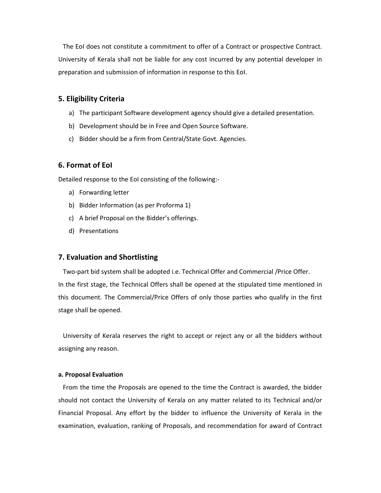The EoI does not constitute a commitment to offer of a Contract or prospective Contract. University of Kerala shall not be liable for any cost incurred by any potential developer in preparation and submission of information in response to this EoI.

## 5. Eligibility Criteria

- a) The participant Software development agency should give a detailed presentation.
- b) Development should be in Free and Open Source Software.
- c) Bidder should be a firm from Central/State Govt. Agencies.

## 6. Format of EoI

Detailed response to the EoI consisting of the following:-

- a) Forwarding letter
- b) Bidder Information (as per Proforma 1)
- c) A brief Proposal on the Bidder's offerings.
- d) Presentations

## 7. Evaluation and Shortlisting

 Two-part bid system shall be adopted i.e. Technical Offer and Commercial /Price Offer. In the first stage, the Technical Offers shall be opened at the stipulated time mentioned in this document. The Commercial/Price Offers of only those parties who qualify in the first stage shall be opened.

 University of Kerala reserves the right to accept or reject any or all the bidders without assigning any reason.

#### a. Proposal Evaluation

 From the time the Proposals are opened to the time the Contract is awarded, the bidder should not contact the University of Kerala on any matter related to its Technical and/or Financial Proposal. Any effort by the bidder to influence the University of Kerala in the examination, evaluation, ranking of Proposals, and recommendation for award of Contract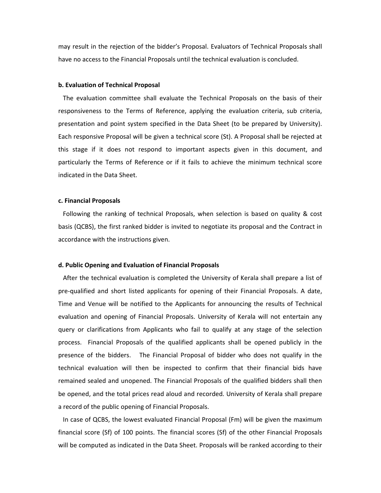may result in the rejection of the bidder's Proposal. Evaluators of Technical Proposals shall have no access to the Financial Proposals until the technical evaluation is concluded.

#### b. Evaluation of Technical Proposal

 The evaluation committee shall evaluate the Technical Proposals on the basis of their responsiveness to the Terms of Reference, applying the evaluation criteria, sub criteria, presentation and point system specified in the Data Sheet (to be prepared by University). Each responsive Proposal will be given a technical score (St). A Proposal shall be rejected at this stage if it does not respond to important aspects given in this document, and particularly the Terms of Reference or if it fails to achieve the minimum technical score indicated in the Data Sheet.

#### c. Financial Proposals

 Following the ranking of technical Proposals, when selection is based on quality & cost basis (QCBS), the first ranked bidder is invited to negotiate its proposal and the Contract in accordance with the instructions given.

### d. Public Opening and Evaluation of Financial Proposals

 After the technical evaluation is completed the University of Kerala shall prepare a list of pre-qualified and short listed applicants for opening of their Financial Proposals. A date, Time and Venue will be notified to the Applicants for announcing the results of Technical evaluation and opening of Financial Proposals. University of Kerala will not entertain any query or clarifications from Applicants who fail to qualify at any stage of the selection process. Financial Proposals of the qualified applicants shall be opened publicly in the presence of the bidders. The Financial Proposal of bidder who does not qualify in the technical evaluation will then be inspected to confirm that their financial bids have remained sealed and unopened. The Financial Proposals of the qualified bidders shall then be opened, and the total prices read aloud and recorded. University of Kerala shall prepare a record of the public opening of Financial Proposals.

 In case of QCBS, the lowest evaluated Financial Proposal (Fm) will be given the maximum financial score (Sf) of 100 points. The financial scores (Sf) of the other Financial Proposals will be computed as indicated in the Data Sheet. Proposals will be ranked according to their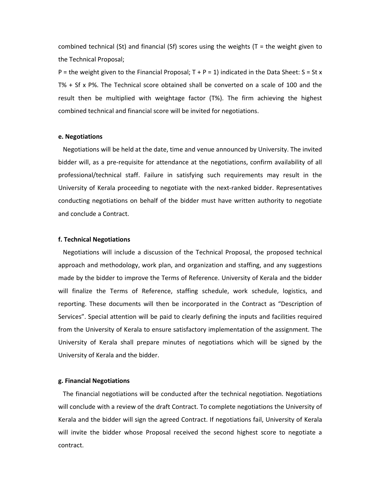combined technical (St) and financial (Sf) scores using the weights ( $T =$  the weight given to the Technical Proposal;

P = the weight given to the Financial Proposal;  $T + P = 1$ ) indicated in the Data Sheet: S = St x T% + Sf x P%. The Technical score obtained shall be converted on a scale of 100 and the result then be multiplied with weightage factor (T%). The firm achieving the highest combined technical and financial score will be invited for negotiations.

#### e. Negotiations

 Negotiations will be held at the date, time and venue announced by University. The invited bidder will, as a pre-requisite for attendance at the negotiations, confirm availability of all professional/technical staff. Failure in satisfying such requirements may result in the University of Kerala proceeding to negotiate with the next-ranked bidder. Representatives conducting negotiations on behalf of the bidder must have written authority to negotiate and conclude a Contract.

#### f. Technical Negotiations

 Negotiations will include a discussion of the Technical Proposal, the proposed technical approach and methodology, work plan, and organization and staffing, and any suggestions made by the bidder to improve the Terms of Reference. University of Kerala and the bidder will finalize the Terms of Reference, staffing schedule, work schedule, logistics, and reporting. These documents will then be incorporated in the Contract as "Description of Services". Special attention will be paid to clearly defining the inputs and facilities required from the University of Kerala to ensure satisfactory implementation of the assignment. The University of Kerala shall prepare minutes of negotiations which will be signed by the University of Kerala and the bidder.

#### g. Financial Negotiations

 The financial negotiations will be conducted after the technical negotiation. Negotiations will conclude with a review of the draft Contract. To complete negotiations the University of Kerala and the bidder will sign the agreed Contract. If negotiations fail, University of Kerala will invite the bidder whose Proposal received the second highest score to negotiate a contract.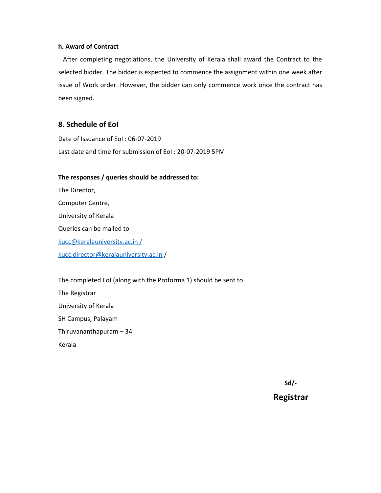## h. Award of Contract

 After completing negotiations, the University of Kerala shall award the Contract to the selected bidder. The bidder is expected to commence the assignment within one week after issue of Work order. However, the bidder can only commence work once the contract has been signed.

## 8. Schedule of EoI

Date of Issuance of EoI : 06-07-2019 Last date and time for submission of EoI : 20-07-2019 5PM

## The responses / queries should be addressed to:

The Director, Computer Centre, University of Kerala Queries can be mailed to kucc@keralauniversity.ac.in / kucc.director@keralauniversity.ac.in /

The completed EoI (along with the Proforma 1) should be sent to The Registrar University of Kerala SH Campus, Palayam Thiruvananthapuram – 34 Kerala

Sd/-

## Registrar